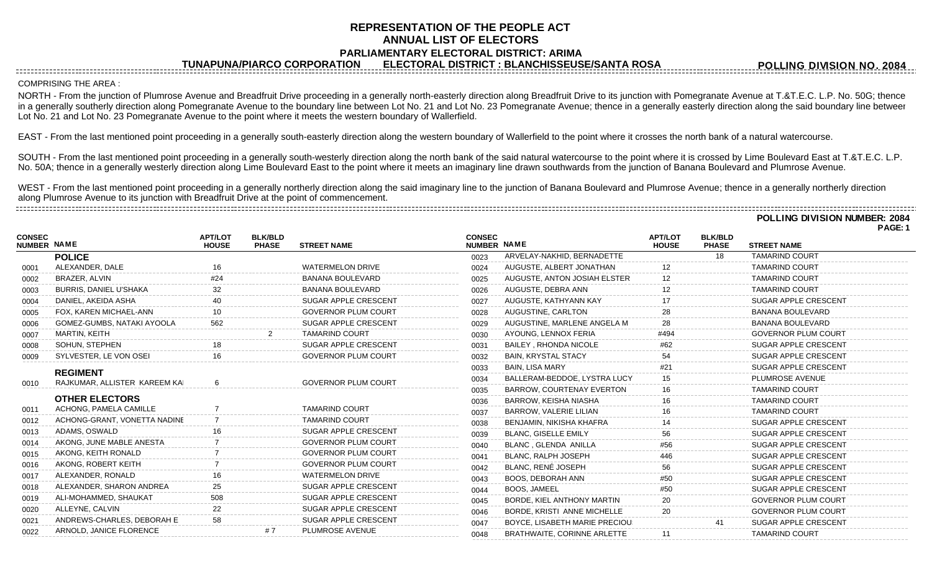## **REPRESENTATION OF THE PEOPLE ACT ANNUAL LIST OF ELECTORS PARLIAMENTARY ELECTORAL DISTRICT: ARIMA**

**TUNAPUNA/PIARCO CORPORATION ELECTORAL DISTRICT : BLANCHISSEUSE/SANTA ROSA**

**POLLING DIVISION NO. 2084**

## COMPRISING THE AREA :

**CONSEC**

NORTH - From the junction of Plumrose Avenue and Breadfruit Drive proceeding in a generally north-easterly direction along Breadfruit Drive to its junction with Pomegranate Avenue at T.&T.E.C. L.P. No. 50G; thence in a generally southerly direction along Pomegranate Avenue to the boundary line between Lot No. 21 and Lot No. 23 Pomegranate Avenue; thence in a generally easterly direction along the said boundary line betweer Lot No. 21 and Lot No. 23 Pomegranate Avenue to the point where it meets the western boundary of Wallerfield.

EAST - From the last mentioned point proceeding in a generally south-easterly direction along the western boundary of Wallerfield to the point where it crosses the north bank of a natural watercourse.

SOUTH - From the last mentioned point proceeding in a generally south-westerly direction along the north bank of the said natural watercourse to the point where it is crossed by Lime Boulevard East at T.&T.E.C. L.P. No. 50A; thence in a generally westerly direction along Lime Boulevard East to the point where it meets an imaginary line drawn southwards from the junction of Banana Boulevard and Plumrose Avenue.

WEST - From the last mentioned point proceeding in a generally northerly direction along the said imaginary line to the junction of Banana Boulevard and Plumrose Avenue; thence in a generally northerly direction along Plumrose Avenue to its junction with Breadfruit Drive at the point of commencement. 

**POLLING DIVISION NUMBER: 2084 PAGE: 1 APT/LOT BLK/BLD NAME APT/LOT BLK/BLD NUMBER HOUSE PHASE STREET NAME CONSEC**

| <b>NUMBER NAME</b>            | <b>HOUSE</b>                                                                                                                                                            | <b>PHASE</b> | <b>STREET NAME</b>         |                                                                                                                                                                                                                        |                                  | <b>HOUSE</b>       | <b>PHASE</b> | <b>STREET NAME</b>          |
|-------------------------------|-------------------------------------------------------------------------------------------------------------------------------------------------------------------------|--------------|----------------------------|------------------------------------------------------------------------------------------------------------------------------------------------------------------------------------------------------------------------|----------------------------------|--------------------|--------------|-----------------------------|
| <b>POLICE</b>                 |                                                                                                                                                                         |              |                            | 0023                                                                                                                                                                                                                   | ARVELAY-NAKHID, BERNADETTE       |                    | 18           | <b>TAMARIND COURT</b>       |
| ALEXANDER, DALE               | 16                                                                                                                                                                      |              | <b>WATERMELON DRIVE</b>    | 0024                                                                                                                                                                                                                   | AUGUSTE, ALBERT JONATHAN         |                    |              | <b>TAMARIND COURT</b>       |
| BRAZER, ALVIN                 | #24                                                                                                                                                                     |              | <b>BANANA BOULEVARD</b>    | 0025                                                                                                                                                                                                                   | AUGUSTE, ANTON JOSIAH ELSTER     |                    |              | <b>TAMARIND COURT</b>       |
| <b>BURRIS, DANIEL U'SHAKA</b> | 32                                                                                                                                                                      |              | BANANA BOULEVARD           | 0026                                                                                                                                                                                                                   | AUGUSTE, DEBRA ANN               | 12                 |              | <b>TAMARIND COURT</b>       |
| DANIEL, AKEIDA ASHA           |                                                                                                                                                                         |              | SUGAR APPLE CRESCENT       | 0027                                                                                                                                                                                                                   | AUGUSTE, KATHYANN KAY            | 17                 |              | SUGAR APPLE CRESCENT        |
| FOX, KAREN MICHAEL-ANN        |                                                                                                                                                                         |              | <b>GOVERNOR PLUM COURT</b> | 0028                                                                                                                                                                                                                   | AUGUSTINE, CARLTON               |                    |              | <b>BANANA BOULEVARD</b>     |
| GOMEZ-GUMBS, NATAKI AYOOLA    | 562                                                                                                                                                                     |              | SUGAR APPLE CRESCENT       | 0029                                                                                                                                                                                                                   | AUGUSTINE, MARLENE ANGELA M      | 28                 |              | <b>BANANA BOULEVARD</b>     |
| MARTIN, KEITH                 |                                                                                                                                                                         |              | <b>TAMARIND COURT</b>      | 0030                                                                                                                                                                                                                   | AYOUNG, LENNOX FERIA             | #494               |              | <b>GOVERNOR PLUM COURT</b>  |
| SOHUN, STEPHEN                |                                                                                                                                                                         |              | SUGAR APPLE CRESCENT       | 0031                                                                                                                                                                                                                   | <b>BAILEY, RHONDA NICOLE</b>     | #62                |              | <b>SUGAR APPLE CRESCENT</b> |
| SYLVESTER, LE VON OSEI        |                                                                                                                                                                         |              | <b>GOVERNOR PLUM COURT</b> | 0032                                                                                                                                                                                                                   | <b>BAIN, KRYSTAL STACY</b>       | 54                 |              | SUGAR APPLE CRESCENT        |
|                               |                                                                                                                                                                         |              |                            | 0033                                                                                                                                                                                                                   | <b>BAIN, LISA MARY</b>           |                    |              | <b>SUGAR APPLE CRESCENT</b> |
|                               |                                                                                                                                                                         |              |                            | 0034                                                                                                                                                                                                                   | BALLERAM-BEDDOE, LYSTRA LUCY     | 15                 |              | PLUMROSE AVENUE             |
|                               |                                                                                                                                                                         |              |                            | 0035                                                                                                                                                                                                                   | <b>BARROW, COURTENAY EVERTON</b> |                    |              | <b>TAMARIND COURT</b>       |
| <b>OTHER ELECTORS</b>         |                                                                                                                                                                         |              |                            | 0036                                                                                                                                                                                                                   | BARROW, KEISHA NIASHA            |                    |              | <b>TAMARIND COURT</b>       |
|                               |                                                                                                                                                                         |              |                            | 0037                                                                                                                                                                                                                   | BARROW, VALERIE LILIAN           |                    |              | <b>TAMARIND COURT</b>       |
|                               |                                                                                                                                                                         |              |                            | 0038                                                                                                                                                                                                                   | BENJAMIN, NIKISHA KHAFRA         |                    |              | SUGAR APPLE CRESCENT        |
|                               |                                                                                                                                                                         |              |                            | 0039                                                                                                                                                                                                                   | <b>BLANC, GISELLE EMILY</b>      | 56                 |              | SUGAR APPLE CRESCENT        |
| AKONG, JUNE MABLE ANESTA      |                                                                                                                                                                         |              |                            | 0040                                                                                                                                                                                                                   | BLANC, GLENDA ANILLA             | #56                |              | SUGAR APPLE CRESCENT        |
| AKONG, KEITH RONALD           |                                                                                                                                                                         |              |                            | 0041                                                                                                                                                                                                                   | <b>BLANC, RALPH JOSEPH</b>       | 446                |              | SUGAR APPLE CRESCENT        |
|                               |                                                                                                                                                                         |              |                            | 0042                                                                                                                                                                                                                   | BLANC, RENÉ JOSEPH               |                    |              | SUGAR APPLE CRESCENT        |
|                               |                                                                                                                                                                         |              | <b>WATERMELON DRIVE</b>    | 0043                                                                                                                                                                                                                   | <b>BOOS, DEBORAH ANN</b>         | #50                |              | SUGAR APPLE CRESCENT        |
| ALEXANDER, SHARON ANDREA      |                                                                                                                                                                         |              |                            | 0044                                                                                                                                                                                                                   | <b>BOOS. JAMEEL</b>              | #50                |              | SUGAR APPLE CRESCENT        |
| ALI-MOHAMMED, SHAUKAT         | 508                                                                                                                                                                     |              | SUGAR APPLE CRESCENT       | 0045                                                                                                                                                                                                                   | BORDE, KIEL ANTHONY MARTIN       | 20                 |              | <b>GOVERNOR PLUM COURT</b>  |
| ALLEYNE, CALVIN               | 22                                                                                                                                                                      |              | SUGAR APPLE CRESCENT       | 0046                                                                                                                                                                                                                   | BORDE, KRISTI ANNE MICHELLE      | 20                 |              | <b>GOVERNOR PLUM COURT</b>  |
| ANDREWS-CHARLES, DEBORAH E    | 58                                                                                                                                                                      |              | SUGAR APPLE CRESCENT       | 0047                                                                                                                                                                                                                   | BOYCE, LISABETH MARIE PRECIOU:   |                    |              | SUGAR APPLE CRESCENT        |
| ARNOLD, JANICE FLORENCE       |                                                                                                                                                                         |              | PLUMROSE AVENUE            | 0048                                                                                                                                                                                                                   | BRATHWAITE, CORINNE ARLETTE      | 11                 |              | <b>TAMARIND COURT</b>       |
|                               | <b>REGIMENT</b><br>RAJKUMAR, ALLISTER KAREEM KAI<br>ACHONG, PAMELA CAMILLE<br>ACHONG-GRANT, VONETTA NADINE<br>ADAMS, OSWALD<br>AKONG, ROBERT KEITH<br>ALEXANDER, RONALD |              |                            | <b>GOVERNOR PLUM COURT</b><br><b>TAMARIND COURT</b><br><b>TAMARIND COURT</b><br>SUGAR APPLE CRESCENT<br><b>GOVERNOR PLUM COURT</b><br><b>GOVERNOR PLUM COURT</b><br><b>GOVERNOR PLUM COURT</b><br>SUGAR APPLE CRESCENT |                                  | <b>NUMBER NAME</b> |              |                             |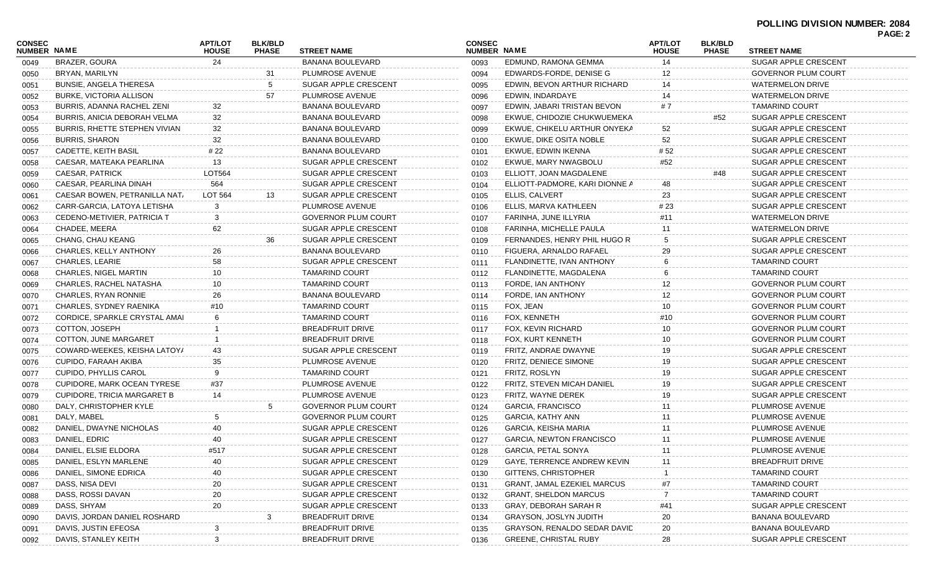## **POLLING DIVISION NUMBER: 2084 PAGE: 2**

| <b>CONSEC</b><br><b>NUMBER NAME</b> |                                | <b>APT/LOT</b><br><b>HOUSE</b> | <b>BLK/BLD</b><br><b>PHASE</b> | <b>STREET NAME</b>         | <b>CONSEC</b><br>NUMBER NAME |                                    | <b>APT/LOT</b><br><b>HOUSE</b> | <b>BLK/BLD</b><br><b>PHASE</b> | <b>STREET NAME</b>         | . uur. 2 |
|-------------------------------------|--------------------------------|--------------------------------|--------------------------------|----------------------------|------------------------------|------------------------------------|--------------------------------|--------------------------------|----------------------------|----------|
| 0049                                | BRAZER, GOURA                  | 24                             |                                | <b>BANANA BOULEVARD</b>    | 0093                         | EDMUND, RAMONA GEMMA               | 14                             |                                | SUGAR APPLE CRESCENT       |          |
| 0050                                | BRYAN, MARILYN                 |                                | 31                             | PLUMROSE AVENUE            | 0094                         | EDWARDS-FORDE, DENISE G            | 12                             |                                | <b>GOVERNOR PLUM COURT</b> |          |
| 0051                                | <b>BUNSIE, ANGELA THERESA</b>  |                                | 5                              | SUGAR APPLE CRESCENT       | 0095                         | EDWIN, BEVON ARTHUR RICHARD        | 14                             |                                | WATERMELON DRIVE           |          |
| 0052                                | <b>BURKE, VICTORIA ALLISON</b> |                                | 57                             | PLUMROSE AVENUE            | 0096                         | EDWIN, INDARDAYE                   | 14                             |                                | <b>WATERMELON DRIVE</b>    |          |
| 0053                                | BURRIS, ADANNA RACHEL ZENI     | 32                             |                                | <b>BANANA BOULEVARD</b>    | 0097                         | EDWIN, JABARI TRISTAN BEVON        | # 7                            |                                | <b>TAMARIND COURT</b>      |          |
| 0054                                | BURRIS, ANICIA DEBORAH VELMA   | 32                             |                                | <b>BANANA BOULEVARD</b>    | 0098                         | EKWUE, CHIDOZIE CHUKWUEMEKA        |                                | #52                            | SUGAR APPLE CRESCENT       |          |
| 0055                                | BURRIS, RHETTE STEPHEN VIVIAN  | 32                             |                                | BANANA BOULEVARD           | 0099                         | EKWUE, CHIKELU ARTHUR ONYEKA       | 52                             |                                | SUGAR APPLE CRESCENT       |          |
| 0056                                | <b>BURRIS, SHARON</b>          | 32                             |                                | BANANA BOULEVARD           | 0100                         | EKWUE, DIKE OSITA NOBLE            | 52                             |                                | SUGAR APPLE CRESCENT       |          |
| 0057                                | CADETTE, KEITH BASIL           | # 22                           |                                | BANANA BOULEVARD           | 0101                         | EKWUE, EDWIN IKENNA                | # 52                           |                                | SUGAR APPLE CRESCENT       |          |
| 0058                                | CAESAR, MATEAKA PEARLINA       | 13                             |                                | SUGAR APPLE CRESCENT       | 0102                         | EKWUE, MARY NWAGBOLU               | #52                            |                                | SUGAR APPLE CRESCENT       |          |
| 0059                                | <b>CAESAR, PATRICK</b>         | LOT564                         |                                | SUGAR APPLE CRESCENT       | 0103                         | ELLIOTT, JOAN MAGDALENE            |                                | #48                            | SUGAR APPLE CRESCENT       |          |
| 0060                                | CAESAR, PEARLINA DINAH         | 564                            |                                | SUGAR APPLE CRESCENT       | 0104                         | ELLIOTT-PADMORE, KARI DIONNE A     | 48                             |                                | SUGAR APPLE CRESCENT       |          |
| 0061                                | CAESAR BOWEN, PETRANILLA NAT   | LOT 564                        | 13                             | SUGAR APPLE CRESCENT       | 0105                         | <b>ELLIS, CALVERT</b>              | 23                             |                                | SUGAR APPLE CRESCENT       |          |
| 0062                                | CARR-GARCIA, LATOYA LETISHA    | 3                              |                                | PLUMROSE AVENUE            | 0106                         | ELLIS, MARVA KATHLEEN              | # 23                           |                                | SUGAR APPLE CRESCENT       |          |
| 0063                                | CEDENO-METIVIER, PATRICIA T    | 3                              |                                | <b>GOVERNOR PLUM COURT</b> | 0107                         | FARINHA, JUNE ILLYRIA              | #11                            |                                | <b>WATERMELON DRIVE</b>    |          |
| 0064                                | CHADEE, MEERA                  | 62                             |                                | SUGAR APPLE CRESCENT       | 0108                         | FARINHA, MICHELLE PAULA            | 11                             |                                | <b>WATERMELON DRIVE</b>    |          |
| 0065                                | CHANG, CHAU KEANG              |                                | 36                             | SUGAR APPLE CRESCENT       | 0109                         | FERNANDES, HENRY PHIL HUGO R       | 5                              |                                | SUGAR APPLE CRESCENT       |          |
| 0066                                | CHARLES, KELLY ANTHONY         | 26                             |                                | <b>BANANA BOULEVARD</b>    | 0110                         | FIGUERA, ARNALDO RAFAEL            | 29                             |                                | SUGAR APPLE CRESCENT       |          |
| 0067                                | CHARLES, LEARIE                | 58                             |                                | SUGAR APPLE CRESCENT       | 0111                         | FLANDINETTE, IVAN ANTHONY          | 6                              |                                | <b>TAMARIND COURT</b>      |          |
| 0068                                | <b>CHARLES, NIGEL MARTIN</b>   | 10                             |                                | <b>TAMARIND COURT</b>      | 0112                         | FLANDINETTE, MAGDALENA             |                                |                                | <b>TAMARIND COURT</b>      |          |
| 0069                                | CHARLES, RACHEL NATASHA        | 10                             |                                | <b>TAMARIND COURT</b>      | 0113                         | FORDE, IAN ANTHONY                 | 12                             |                                | <b>GOVERNOR PLUM COURT</b> |          |
| 0070                                | CHARLES, RYAN RONNIE           | 26                             |                                | BANANA BOULEVARD           | 0114                         | FORDE, IAN ANTHONY                 | 12                             |                                | <b>GOVERNOR PLUM COURT</b> |          |
| 0071                                | CHARLES, SYDNEY RAENIKA        | #10                            |                                | <b>TAMARIND COURT</b>      | 0115                         | FOX, JEAN                          | 10                             |                                | <b>GOVERNOR PLUM COURT</b> |          |
| 0072                                | CORDICE, SPARKLE CRYSTAL AMAI  | 6                              |                                | <b>TAMARIND COURT</b>      | 0116                         | FOX, KENNETH                       | #10                            |                                | <b>GOVERNOR PLUM COURT</b> |          |
| 0073                                | COTTON, JOSEPH                 |                                |                                | <b>BREADFRUIT DRIVE</b>    | 0117                         | FOX, KEVIN RICHARD                 | 10                             |                                | <b>GOVERNOR PLUM COURT</b> |          |
| 0074                                | COTTON, JUNE MARGARET          |                                |                                | <b>BREADFRUIT DRIVE</b>    | 0118                         | FOX, KURT KENNETH                  | 10                             |                                | <b>GOVERNOR PLUM COURT</b> |          |
| 0075                                | COWARD-WEEKES, KEISHA LATOY/   | 43                             |                                | SUGAR APPLE CRESCENT       | 0119                         | FRITZ, ANDRAE DWAYNE               | 19                             |                                | SUGAR APPLE CRESCENT       |          |
| 0076                                | CUPIDO, FARAAH AKIBA           | 35                             |                                | PLUMROSE AVENUE            | 0120                         | FRITZ, DENIECE SIMONE              | 19                             |                                | SUGAR APPLE CRESCENT       |          |
| 0077                                | CUPIDO, PHYLLIS CAROL          | 9                              |                                | <b>TAMARIND COURT</b>      | 0121                         | FRITZ, ROSLYN                      | 19                             |                                | SUGAR APPLE CRESCENT       |          |
| 0078                                | CUPIDORE, MARK OCEAN TYRESE    | #37                            |                                | PLUMROSE AVENUE            | 0122                         | FRITZ, STEVEN MICAH DANIEL         | 19                             |                                | SUGAR APPLE CRESCENT       |          |
| 0079                                | CUPIDORE, TRICIA MARGARET B    | 14                             |                                | PLUMROSE AVENUE            | 0123                         | FRITZ, WAYNE DEREK                 | 19                             |                                | SUGAR APPLE CRESCENT       |          |
| 0080                                | DALY, CHRISTOPHER KYLE         |                                | 5                              | <b>GOVERNOR PLUM COURT</b> | 0124                         | <b>GARCIA, FRANCISCO</b>           | 11                             |                                | PLUMROSE AVENUE            |          |
| 0081                                | DALY, MABEL                    | 5                              |                                | <b>GOVERNOR PLUM COURT</b> | 0125                         | GARCIA, KATHY ANN                  |                                |                                | PLUMROSE AVENUE            |          |
| 0082                                | DANIEL, DWAYNE NICHOLAS        |                                |                                | SUGAR APPLE CRESCENT       | 0126                         | GARCIA, KEISHA MARIA               | 11                             |                                | PLUMROSE AVENUE            |          |
| 0083                                | DANIEL, EDRIC                  | 40                             |                                | SUGAR APPLE CRESCENT       | 0127                         | <b>GARCIA, NEWTON FRANCISCO</b>    | 11                             |                                | PLUMROSE AVENUE            |          |
| 0084                                | DANIEL, ELSIE ELDORA           | #517                           |                                | SUGAR APPLE CRESCENT       | 0128                         | GARCIA, PETAL SONYA                |                                |                                | PLUMROSE AVENUE            |          |
| 0085                                | DANIEL, ESLYN MARLENE          | 40                             |                                | SUGAR APPLE CRESCENT       | 0129                         | GAYE, TERRENCE ANDREW KEVIN        | 11                             |                                | <b>BREADFRUIT DRIVE</b>    |          |
| 0086                                | DANIEL, SIMONE EDRICA          | 40                             |                                | SUGAR APPLE CRESCENT       | 0130                         | GITTENS, CHRISTOPHER               |                                |                                | <b>TAMARIND COURT</b>      |          |
| 0087                                | DASS, NISA DEVI                | 20                             |                                | SUGAR APPLE CRESCENT       | 0131                         | <b>GRANT, JAMAL EZEKIEL MARCUS</b> | #7                             |                                | <b>TAMARIND COURT</b>      |          |
| 0088                                | DASS, ROSSI DAVAN              | 20                             |                                | SUGAR APPLE CRESCENT       | 0132                         | <b>GRANT, SHELDON MARCUS</b>       |                                |                                | <b>TAMARIND COURT</b>      |          |
| 0089                                | DASS, SHYAM                    | 20                             |                                | SUGAR APPLE CRESCENT       | 0133                         | GRAY, DEBORAH SARAH R              | #41                            |                                | SUGAR APPLE CRESCENT       |          |
| 0090                                | DAVIS, JORDAN DANIEL ROSHARD   |                                |                                | <b>BREADFRUIT DRIVE</b>    | 0134                         | <b>GRAYSON, JOSLYN JUDITH</b>      | 20                             |                                | BANANA BOULEVARD           |          |
| 0091                                | DAVIS, JUSTIN EFEOSA           | 3                              |                                | <b>BREADFRUIT DRIVE</b>    | 0135                         | GRAYSON, RENALDO SEDAR DAVID       | 20                             |                                | BANANA BOULEVARD           |          |
| 0092                                | DAVIS, STANLEY KEITH           | 3                              |                                | BREADFRUIT DRIVE           | 0136                         | <b>GREENE, CHRISTAL RUBY</b>       | 28                             |                                | SUGAR APPLE CRESCENT       |          |
|                                     |                                |                                |                                |                            |                              |                                    |                                |                                |                            |          |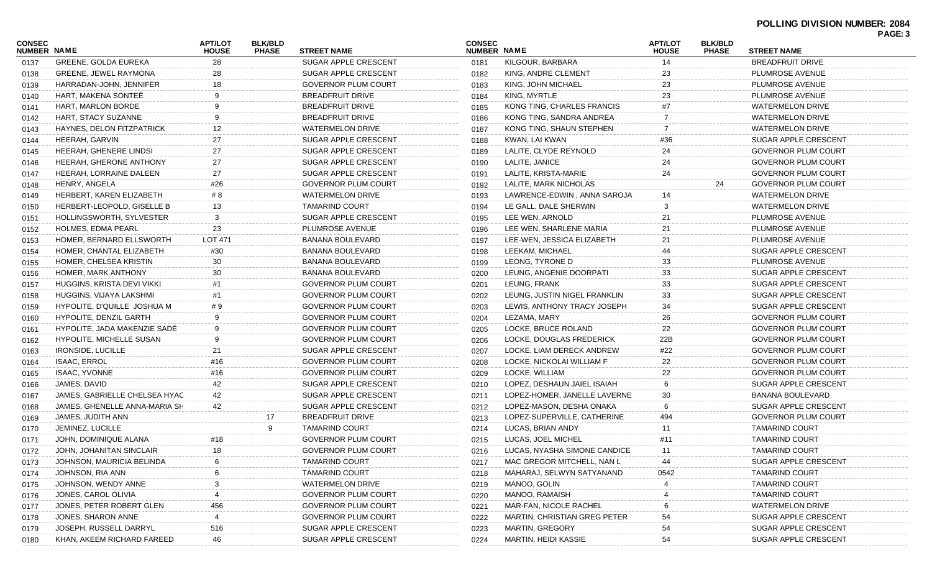| <b>CONSEC</b>      |                                 | <b>APT/LOT</b> | <b>BLK/BLD</b> |                             | <b>CONSEC</b>      |                                   | <b>APT/LOT</b> | <b>BLK/BLD</b> |                             | . UUL. 4 |
|--------------------|---------------------------------|----------------|----------------|-----------------------------|--------------------|-----------------------------------|----------------|----------------|-----------------------------|----------|
| <b>NUMBER NAME</b> |                                 | <b>HOUSE</b>   | <b>PHASE</b>   | <b>STREET NAME</b>          | <b>NUMBER NAME</b> |                                   | <b>HOUSE</b>   | <b>PHASE</b>   | <b>STREET NAME</b>          |          |
| 0137               | <b>GREENE, GOLDA EUREKA</b>     | 28             |                | SUGAR APPLE CRESCENT        | 0181               | KILGOUR, BARBARA                  | 14             |                | <b>BREADFRUIT DRIVE</b>     |          |
| 0138               | <b>GREENE, JEWEL RAYMONA</b>    | 28             |                | SUGAR APPLE CRESCENT        | 0182               | KING, ANDRE CLEMENT               |                |                | PLUMROSE AVENUE             |          |
| 0139               | HARRADAN-JOHN, JENNIFER         | 18             |                | <b>GOVERNOR PLUM COURT</b>  | 0183               | KING, JOHN MICHAEL                | 23             |                | PLUMROSE AVENUE             |          |
| 0140               | HART, MAKENA SONTEE             | 9              |                | <b>BREADFRUIT DRIVE</b>     | 0184               | KING, MYRTLE                      | 23             |                | PLUMROSE AVENUE             |          |
| 0141               | HART, MARLON BORDE              | 9              |                | <b>BREADFRUIT DRIVE</b>     | 0185               | KONG TING, CHARLES FRANCIS        | #7             |                | <b>WATERMELON DRIVE</b>     |          |
| 0142               | HART, STACY SUZANNE             | 9              |                | BREADFRUIT DRIVE            | 0186               | KONG TING, SANDRA ANDREA          | 7              |                | <b>WATERMELON DRIVE</b>     |          |
| 0143               | HAYNES, DELON FITZPATRICK       | 12             |                | <b>WATERMELON DRIVE</b>     | 0187               | KONG TING, SHAUN STEPHEN          |                |                | <b>WATERMELON DRIVE</b>     |          |
| 0144               | HEERAH, GARVIN                  | 27             |                | SUGAR APPLE CRESCENT        | 0188               | KWAN, LAI KWAN                    | #36            |                | SUGAR APPLE CRESCENT        |          |
| 0145               | HEERAH, GHENERE LINDSI          | 27             |                | SUGAR APPLE CRESCENT        | 0189               | LALITE, CLYDE REYNOLD             | 24             |                | <b>GOVERNOR PLUM COURT</b>  |          |
| 0146               | HEERAH, GHERONE ANTHONY         | 27             |                | SUGAR APPLE CRESCENT        | 0190               | LALITE, JANICE                    | 24             |                | <b>GOVERNOR PLUM COURT</b>  |          |
| 0147               | HEERAH, LORRAINE DALEEN         | 27             |                | SUGAR APPLE CRESCENT        | 0191               | LALITE, KRISTA-MARIE              | 24             |                | <b>GOVERNOR PLUM COURT</b>  |          |
| 0148               | HENRY, ANGELA                   | #26            |                | <b>GOVERNOR PLUM COURT</b>  | 0192               | LALITE, MARK NICHOLAS             |                | 24             | <b>GOVERNOR PLUM COURT</b>  |          |
| 0149               | HERBERT, KAREN ELIZABETH        | # 8            |                | <b>WATERMELON DRIVE</b>     | 0193               | LAWRENCE-EDWIN, ANNA SAROJA       | 14             |                | <b>WATERMELON DRIVE</b>     |          |
| 0150               | HERBERT-LEOPOLD, GISELLE B      | 13             |                | <b>TAMARIND COURT</b>       | 0194               | LE GALL, DALE SHERWIN             |                |                | <b>WATERMELON DRIVE</b>     |          |
| 0151               | <b>HOLLINGSWORTH, SYLVESTER</b> | 3              |                | <b>SUGAR APPLE CRESCENT</b> | 0195               | LEE WEN, ARNOLD                   | 21             |                | PLUMROSE AVENUE             |          |
| 0152               | <b>HOLMES, EDMA PEARL</b>       | 23             |                | PLUMROSE AVENUE             | 0196               | LEE WEN, SHARLENE MARIA           | 21             |                | PLUMROSE AVENUE             |          |
| 0153               | HOMER, BERNARD ELLSWORTH        | LOT 471        |                | BANANA BOULEVARD            | 0197               | LEE-WEN, JESSICA ELIZABETH        | 21             |                | PLUMROSE AVENUE             |          |
| 0154               | HOMER, CHANTAL ELIZABETH        | #30            |                | BANANA BOULEVARD            | 0198               | LEEKAM, MICHAEL                   | 44             |                | SUGAR APPLE CRESCENT        |          |
| 0155               | HOMER, CHELSEA KRISTIN          | 30             |                | BANANA BOULEVARD            | 0199               | LEONG, TYRONE D                   | 33             |                | PLUMROSE AVENUE             |          |
| 0156               | HOMER, MARK ANTHONY             | 30             |                | BANANA BOULEVARD            | 0200               | LEUNG, ANGENIE DOORPATI           | 33             |                | SUGAR APPLE CRESCENT        |          |
| 0157               | HUGGINS, KRISTA DEVI VIKKI      | #1             |                | <b>GOVERNOR PLUM COURT</b>  | 0201               | LEUNG, FRANK                      | 33             |                | SUGAR APPLE CRESCENT        |          |
| 0158               | HUGGINS, VIJAYA LAKSHMI         | #1             |                | <b>GOVERNOR PLUM COURT</b>  | 0202               | LEUNG, JUSTIN NIGEL FRANKLIN      | 33             |                | SUGAR APPLE CRESCENT        |          |
| 0159               | HYPOLITE, D'QUILLE JOSHUA M     | #9             |                | <b>GOVERNOR PLUM COURT</b>  | 0203               | LEWIS, ANTHONY TRACY JOSEPH       | 34             |                | SUGAR APPLE CRESCENT        |          |
| 0160               | <b>HYPOLITE, DENZIL GARTH</b>   | 9              |                | <b>GOVERNOR PLUM COURT</b>  | 0204               | LEZAMA, MARY                      | 26             |                | <b>GOVERNOR PLUM COURT</b>  |          |
| 0161               | HYPOLITE, JADA MAKENZIE SADE    | 9              |                | <b>GOVERNOR PLUM COURT</b>  | 0205               | LOCKE, BRUCE ROLAND               | 22             |                | <b>GOVERNOR PLUM COURT</b>  |          |
| 0162               | <b>HYPOLITE, MICHELLE SUSAN</b> | 9              |                | <b>GOVERNOR PLUM COURT</b>  | 0206               | LOCKE, DOUGLAS FREDERICK          | 22B            |                | GOVERNOR PLUM COURT         |          |
| 0163               | <b>IRONSIDE, LUCILLE</b>        | 21             |                | SUGAR APPLE CRESCENT        | 0207               | LOCKE, LIAM DERECK ANDREW         | #22            |                | <b>GOVERNOR PLUM COURT</b>  |          |
| 0164               | <b>ISAAC, ERROL</b>             | #16            |                | <b>GOVERNOR PLUM COURT</b>  | 0208               | LOCKE, NICKOLAI WILLIAM F         | 22             |                | <b>GOVERNOR PLUM COURT</b>  |          |
| 0165               | <b>ISAAC, YVONNE</b>            | #16            |                | <b>GOVERNOR PLUM COURT</b>  | 0209               | LOCKE, WILLIAM                    | 22             |                | <b>GOVERNOR PLUM COURT</b>  |          |
| 0166               | JAMES, DAVID                    | 42             |                | SUGAR APPLE CRESCENT        | 0210               | LOPEZ, DESHAUN JAIEL ISAIAH       | 6              |                | SUGAR APPLE CRESCENT        |          |
| 0167               | JAMES, GABRIELLE CHELSEA HYAC   | 42             |                | SUGAR APPLE CRESCENT        | 0211               | LOPEZ-HOMER, JANELLE LAVERNE      | 30             |                | <b>BANANA BOULEVARD</b>     |          |
| 0168               | JAMES, GHENELLE ANNA-MARIA SH   | 42             |                | <b>SUGAR APPLE CRESCENT</b> | 0212               | LOPEZ-MASON, DESHA ONAKA          | 6              |                | SUGAR APPLE CRESCENT        |          |
| 0169               | JAMES, JUDITH ANN               |                | 17             | <b>BREADFRUIT DRIVE</b>     | 0213               | LOPEZ-SUPERVILLE, CATHERINE       | 494            |                | <b>GOVERNOR PLUM COURT</b>  |          |
| 0170               | JEMINEZ, LUCILLE                |                | 9              | <b>TAMARIND COURT</b>       | 0214               | LUCAS, BRIAN ANDY                 | 11             |                | <b>TAMARIND COURT</b>       |          |
| 0171               | JOHN, DOMINIQUE ALANA           | #18            |                | <b>GOVERNOR PLUM COURT</b>  | 0215               | LUCAS, JOEL MICHEL                | #11            |                | <b>TAMARIND COURT</b>       |          |
| 0172               | JOHN, JOHANITAN SINCLAIR        |                |                | <b>GOVERNOR PLUM COURT</b>  |                    | 0216 LUCAS, NYASHA SIMONE CANDICE |                |                | TAMARIND COURT              |          |
| 0173               | JOHNSON, MAURICIA BELINDA       |                |                | <b>TAMARIND COURT</b>       | 0217               | MAC GREGOR MITCHELL, NAN L        |                |                | SUGAR APPLE CRESCENT        |          |
| 0174               | JOHNSON, RIA ANN                |                |                | <b>TAMARIND COURT</b>       | 0218               | MAHARAJ, SELWYN SATYANAND         | 0542           |                | <b>TAMARIND COURT</b>       |          |
| 0175               | JOHNSON, WENDY ANNE             |                |                | WATERMELON DRIVE            | 0219               | MANOO, GOLIN                      |                |                | <b>TAMARIND COURT</b>       |          |
| 0176               | JONES, CAROL OLIVIA             |                |                | <b>GOVERNOR PLUM COURT</b>  | 0220               | MANOO, RAMAISH                    |                |                | <b>TAMARIND COURT</b>       |          |
| 0177               | JONES, PETER ROBERT GLEN        | 456            |                | <b>GOVERNOR PLUM COURT</b>  | 0221               | MAR-FAN, NICOLE RACHEL            |                |                | <b>WATERMELON DRIVE</b>     |          |
| 0178               | JONES, SHARON ANNE              |                |                | <b>GOVERNOR PLUM COURT</b>  | 0222               | MARTIN, CHRISTIAN GREG PETER      | 54             |                | SUGAR APPLE CRESCENT        |          |
| 0179               | JOSEPH, RUSSELL DARRYL          | 516            |                | SUGAR APPLE CRESCENT        | 0223               | <b>MARTIN, GREGORY</b>            | 54             |                | <b>SUGAR APPLE CRESCENT</b> |          |
| 0180               | KHAN, AKEEM RICHARD FAREED      | 46             |                | SUGAR APPLE CRESCENT        | 0224               | <b>MARTIN, HEIDI KASSIE</b>       | 54             |                | SUGAR APPLE CRESCENT        |          |
|                    |                                 |                |                |                             |                    |                                   |                |                |                             |          |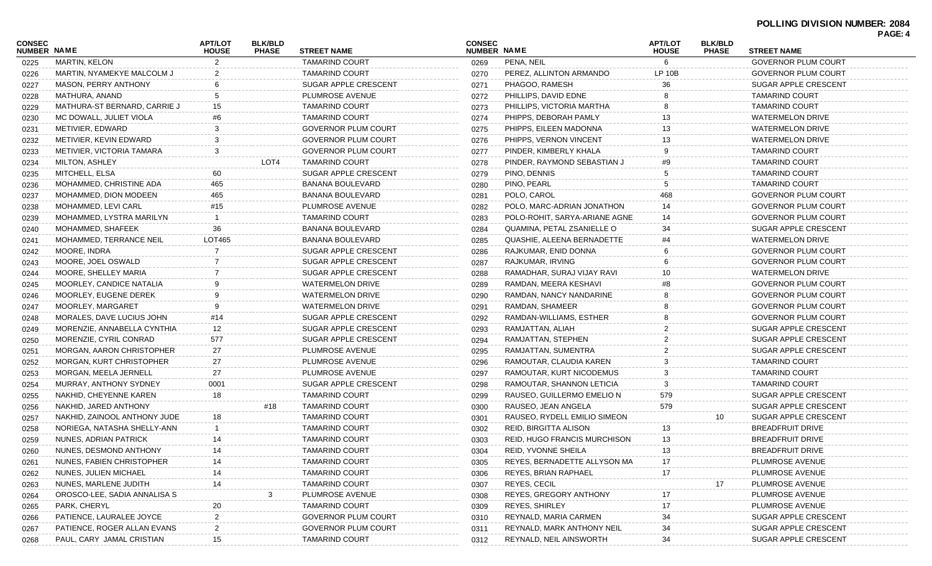| CONSEC<br><b>NUMBER NAME</b> |                              | <b>APT/LOT</b><br><b>HOUSE</b> | <b>BLK/BLD</b><br><b>PHASE</b> | <b>STREET NAME</b>         | <b>CONSEC</b><br>NUMBER NAME |                                     | <b>APT/LOT</b><br><b>HOUSE</b> | <b>BLK/BLD</b><br><b>PHASE</b> | <b>STREET NAME</b>         |  |
|------------------------------|------------------------------|--------------------------------|--------------------------------|----------------------------|------------------------------|-------------------------------------|--------------------------------|--------------------------------|----------------------------|--|
| 0225                         | MARTIN, KELON                | 2                              |                                | <b>TAMARIND COURT</b>      | 0269                         | PENA, NEIL                          | 6                              |                                | <b>GOVERNOR PLUM COURT</b> |  |
| 0226                         | MARTIN, NYAMEKYE MALCOLM J   |                                |                                | <b>TAMARIND COURT</b>      | 0270                         | PEREZ, ALLINTON ARMANDO             | <b>LP 10B</b>                  |                                | <b>GOVERNOR PLUM COURT</b> |  |
| 0227                         | MASON, PERRY ANTHONY         |                                |                                | SUGAR APPLE CRESCENT       | 0271                         | PHAGOO, RAMESH                      | 36                             |                                | SUGAR APPLE CRESCENT       |  |
| 0228                         | MATHURA, ANAND               |                                |                                | PLUMROSE AVENUE            | 0272                         | PHILLIPS, DAVID EDNE                |                                |                                | <b>TAMARIND COURT</b>      |  |
| 0229                         | MATHURA-ST BERNARD, CARRIE J | 15                             |                                | <b>TAMARIND COURT</b>      | 0273                         | PHILLIPS, VICTORIA MARTHA           |                                |                                | <b>TAMARIND COURT</b>      |  |
| 0230                         | MC DOWALL, JULIET VIOLA      | #6                             |                                | <b>TAMARIND COURT</b>      | 0274                         | PHIPPS, DEBORAH PAMLY               | 13                             |                                | <b>WATERMELON DRIVE</b>    |  |
| 0231                         | METIVIER, EDWARD             |                                |                                | <b>GOVERNOR PLUM COURT</b> | 0275                         | PHIPPS, EILEEN MADONNA              | 13                             |                                | <b>WATERMELON DRIVE</b>    |  |
| 0232                         | METIVIER, KEVIN EDWARD       |                                |                                | <b>GOVERNOR PLUM COURT</b> | 0276                         | PHIPPS, VERNON VINCENT              | 13                             |                                | <b>WATERMELON DRIVE</b>    |  |
| 0233                         | METIVIER, VICTORIA TAMARA    | 3                              |                                | <b>GOVERNOR PLUM COURT</b> | 0277                         | PINDER, KIMBERLY KHALA              | 9                              |                                | <b>TAMARIND COURT</b>      |  |
| 0234                         | <b>MILTON, ASHLEY</b>        |                                | LOT4                           | <b>TAMARIND COURT</b>      | 0278                         | PINDER, RAYMOND SEBASTIAN J         | #9                             |                                | <b>TAMARIND COURT</b>      |  |
| 0235                         | MITCHELL, ELSA               | 60                             |                                | SUGAR APPLE CRESCENT       | 0279                         | PINO, DENNIS                        |                                |                                | <b>TAMARIND COURT</b>      |  |
| 0236                         | MOHAMMED, CHRISTINE ADA      | 465                            |                                | <b>BANANA BOULEVARD</b>    | 0280                         | PINO, PEARL                         |                                |                                | <b>TAMARIND COURT</b>      |  |
| 0237                         | MOHAMMED, DION MODEEN        | 465                            |                                | <b>BANANA BOULEVARD</b>    | 0281                         | POLO, CAROL                         |                                |                                | <b>GOVERNOR PLUM COURT</b> |  |
| 0238                         | MOHAMMED, LEVI CARL          | #15                            |                                | PLUMROSE AVENUE            | 0282                         | POLO, MARC-ADRIAN JONATHON          | 14                             |                                | <b>GOVERNOR PLUM COURT</b> |  |
| 0239                         | MOHAMMED. LYSTRA MARILYN     |                                |                                | <b>TAMARIND COURT</b>      | 0283                         | POLO-ROHIT, SARYA-ARIANE AGNE       | 14                             |                                | <b>GOVERNOR PLUM COURT</b> |  |
| 0240                         | MOHAMMED, SHAFEEK            | 36                             |                                | <b>BANANA BOULEVARD</b>    | 0284                         | QUAMINA, PETAL ZSANIELLE O          | 34                             |                                | SUGAR APPLE CRESCENT       |  |
| 0241                         | MOHAMMED, TERRANCE NEIL      | LOT465                         |                                | BANANA BOULEVARD           | 0285                         | QUASHIE, ALEENA BERNADETTE          | #4                             |                                | <b>WATERMELON DRIVE</b>    |  |
| 0242                         | MOORE, INDRA                 |                                |                                | SUGAR APPLE CRESCENT       | 0286                         | RAJKUMAR, ENID DONNA                |                                |                                | <b>GOVERNOR PLUM COURT</b> |  |
| 0243                         | MOORE, JOEL OSWALD           |                                |                                | SUGAR APPLE CRESCENT       | 0287                         | RAJKUMAR, IRVING                    |                                |                                | <b>GOVERNOR PLUM COURT</b> |  |
| 0244                         | MOORE, SHELLEY MARIA         |                                |                                | SUGAR APPLE CRESCENT       | 0288                         | RAMADHAR, SURAJ VIJAY RAVI          | 10                             |                                | <b>WATERMELON DRIVE</b>    |  |
| 0245                         | MOORLEY, CANDICE NATALIA     |                                |                                | <b>WATERMELON DRIVE</b>    | 0289                         | RAMDAN, MEERA KESHAVI               | #8                             |                                | <b>GOVERNOR PLUM COURT</b> |  |
| 0246                         | MOORLEY, EUGENE DEREK        |                                |                                | <b>WATERMELON DRIVE</b>    | 0290                         | RAMDAN, NANCY NANDARINE             |                                |                                | <b>GOVERNOR PLUM COURT</b> |  |
| 0247                         | MOORLEY, MARGARET            |                                |                                | <b>WATERMELON DRIVE</b>    | 0291                         | RAMDAN, SHAMEER                     |                                |                                | <b>GOVERNOR PLUM COURT</b> |  |
| 0248                         | MORALES, DAVE LUCIUS JOHN    | #14                            |                                | SUGAR APPLE CRESCENT       | 0292                         | RAMDAN-WILLIAMS, ESTHER             |                                |                                | <b>GOVERNOR PLUM COURT</b> |  |
| 0249                         | MORENZIE, ANNABELLA CYNTHIA  | 12                             |                                | SUGAR APPLE CRESCENT       | 0293                         | RAMJATTAN, ALIAH                    |                                |                                | SUGAR APPLE CRESCENT       |  |
| 0250                         | MORENZIE, CYRIL CONRAD       | 577                            |                                | SUGAR APPLE CRESCENT       | 0294                         | RAMJATTAN, STEPHEN                  |                                |                                | SUGAR APPLE CRESCENT       |  |
| 0251                         | MORGAN, AARON CHRISTOPHER    | 27                             |                                | PLUMROSE AVENUE            | 0295                         | RAMJATTAN, SUMENTRA                 |                                |                                | SUGAR APPLE CRESCENT       |  |
| 0252                         | MORGAN, KURT CHRISTOPHER     | 27                             |                                | PLUMROSE AVENUE            | 0296                         | RAMOUTAR, CLAUDIA KAREN             |                                |                                | <b>TAMARIND COURT</b>      |  |
| 0253                         | MORGAN, MEELA JERNELL        | 27                             |                                | PLUMROSE AVENUE            | 0297                         | RAMOUTAR, KURT NICODEMUS            |                                |                                | <b>TAMARIND COURT</b>      |  |
| 0254                         | MURRAY, ANTHONY SYDNEY       | 0001                           |                                | SUGAR APPLE CRESCENT       | 0298                         | RAMOUTAR, SHANNON LETICIA           | 3                              |                                | <b>TAMARIND COURT</b>      |  |
| 0255                         | NAKHID, CHEYENNE KAREN       | 18                             |                                | <b>TAMARIND COURT</b>      | 0299                         | RAUSEO, GUILLERMO EMELIO N          | 579                            |                                | SUGAR APPLE CRESCENT       |  |
| 0256                         | NAKHID, JARED ANTHONY        |                                | #18                            | <b>TAMARIND COURT</b>      | 0300                         | RAUSEO, JEAN ANGELA                 | 579                            |                                | SUGAR APPLE CRESCENT       |  |
| 0257                         | NAKHID, ZAINOOL ANTHONY JUDE | 18                             |                                | <b>TAMARIND COURT</b>      | 0301                         | RAUSEO, RYDELL EMILIO SIMEON        |                                | 10 <sup>°</sup>                | SUGAR APPLE CRESCENT       |  |
| 0258                         | NORIEGA, NATASHA SHELLY-ANN  |                                |                                | <b>TAMARIND COURT</b>      | 0302                         | REID, BIRGITTA ALISON               | 13                             |                                | <b>BREADFRUIT DRIVE</b>    |  |
| 0259                         | NUNES, ADRIAN PATRICK        | 14                             |                                | <b>TAMARIND COURT</b>      | 0303                         | <b>REID, HUGO FRANCIS MURCHISON</b> | 13                             |                                | <b>BREADFRUIT DRIVE</b>    |  |
| 0260                         | NUNES, DESMOND ANTHONY       | 14                             |                                | <b>TAMARIND COURT</b>      | 0304                         | REID, YVONNE SHEILA                 | 13                             |                                | BREADFRUIT DRIVE           |  |
| 0261                         | NUNES, FABIEN CHRISTOPHER    |                                |                                | <b>TAMARIND COURT</b>      | 0305                         | REYES, BERNADETTE ALLYSON MA        |                                |                                | PLUMROSE AVENUE            |  |
| 0262                         | NUNES, JULIEN MICHAEL        |                                |                                | <b>TAMARIND COURT</b>      | 0306                         | REYES, BRIAN RAPHAEL                | 17                             |                                | PLUMROSE AVENUE            |  |
| 0263                         | NUNES, MARLENE JUDITH        | 14                             |                                | <b>TAMARIND COURT</b>      | 0307                         | REYES, CECIL                        |                                | 17                             | PLUMROSE AVENUE            |  |
| 0264                         | OROSCO-LEE, SADIA ANNALISA S |                                |                                | PLUMROSE AVENUE            | 0308                         | <b>REYES, GREGORY ANTHONY</b>       |                                |                                | PLUMROSE AVENUE            |  |
| 0265                         | PARK, CHERYL                 | 20                             |                                | <b>TAMARIND COURT</b>      | 0309                         | REYES, SHIRLEY                      | 17                             |                                | PLUMROSE AVENUE            |  |
| 0266                         | PATIENCE, LAURALEE JOYCE     |                                |                                | <b>GOVERNOR PLUM COURT</b> | 0310                         | REYNALD, MARIA CARMEN               | 34                             |                                | SUGAR APPLE CRESCENT       |  |
| 0267                         | PATIENCE, ROGER ALLAN EVANS  |                                |                                | <b>GOVERNOR PLUM COURT</b> | 0311                         | REYNALD, MARK ANTHONY NEIL          | 34                             |                                | SUGAR APPLE CRESCENT       |  |
| 0268                         | PAUL, CARY JAMAL CRISTIAN    | 15                             |                                | <b>TAMARIND COURT</b>      | 0312                         | REYNALD, NEIL AINSWORTH             | 34                             |                                | SUGAR APPLE CRESCENT       |  |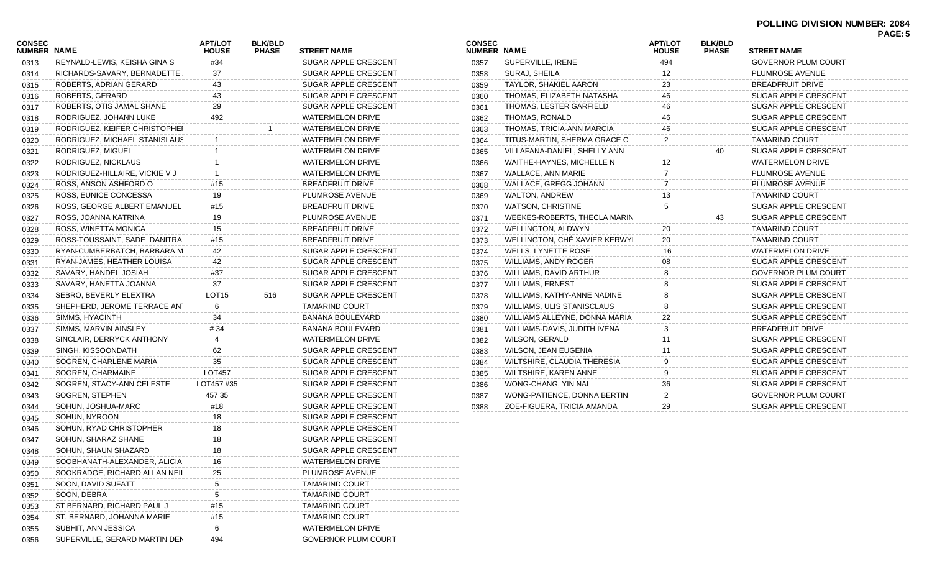## **POLLING DIVISION NUMBER: 2084 PAGE: 5**

| CONSEC<br><b>NUMBER NAME</b> |                                | <b>APT/LOT</b><br><b>HOUSE</b> | <b>BLK/BLD</b><br><b>PHASE</b> | <b>STREET NAME</b>         | <b>CONSEC</b><br>NUMBER NAME |                               | <b>APT/LOT</b><br><b>HOUSE</b> | <b>BLK/BLD</b><br><b>PHASE</b> | <b>STREET NAME</b>         |  |
|------------------------------|--------------------------------|--------------------------------|--------------------------------|----------------------------|------------------------------|-------------------------------|--------------------------------|--------------------------------|----------------------------|--|
| 0313                         | REYNALD-LEWIS, KEISHA GINA S   | #34                            |                                | SUGAR APPLE CRESCENT       | 0357                         | SUPERVILLE, IRENE             | 494                            |                                | <b>GOVERNOR PLUM COURT</b> |  |
| 0314                         | RICHARDS-SAVARY, BERNADETTE,   | 37                             |                                | SUGAR APPLE CRESCENT       | 0358                         | SURAJ, SHEILA                 |                                |                                | PLUMROSE AVENUE            |  |
| 0315                         | ROBERTS, ADRIAN GERARD         | 43                             |                                | SUGAR APPLE CRESCENT       | 0359                         | TAYLOR, SHAKIEL AARON         | 23                             |                                | <b>BREADFRUIT DRIVE</b>    |  |
| 0316                         | ROBERTS, GERARD                | 43                             |                                | SUGAR APPLE CRESCENT       | 0360                         | THOMAS, ELIZABETH NATASHA     | 46                             |                                | SUGAR APPLE CRESCENT       |  |
| 0317                         | ROBERTS, OTIS JAMAL SHANE      | 29                             |                                | SUGAR APPLE CRESCENT       | 0361                         | THOMAS, LESTER GARFIELD       | 46                             |                                | SUGAR APPLE CRESCENT       |  |
| 0318                         | RODRIGUEZ, JOHANN LUKE         | 492                            |                                | WATERMELON DRIVE           | 0362                         | THOMAS, RONALD                |                                |                                | SUGAR APPLE CRESCENT       |  |
| 0319                         | RODRIGUEZ, KEIFER CHRISTOPHEI  |                                |                                | <b>WATERMELON DRIVE</b>    | 0363                         | THOMAS, TRICIA-ANN MARCIA     |                                |                                | SUGAR APPLE CRESCENT       |  |
| 0320                         | RODRIGUEZ, MICHAEL STANISLAUS  |                                |                                | <b>WATERMELON DRIVE</b>    | 0364                         | TITUS-MARTIN, SHERMA GRACE C  | 2                              |                                | <b>TAMARIND COURT</b>      |  |
| 0321                         | RODRIGUEZ, MIGUEL              |                                |                                | <b>WATERMELON DRIVE</b>    | 0365                         | VILLAFANA-DANIEL, SHELLY ANN  |                                | 40                             | SUGAR APPLE CRESCENT       |  |
| 0322                         | RODRIGUEZ, NICKLAUS            |                                |                                | WATERMELON DRIVE           | 0366                         | WAITHE-HAYNES, MICHELLE N     | 12                             |                                | WATERMELON DRIVE           |  |
| 0323                         | RODRIGUEZ-HILLAIRE, VICKIE V J |                                |                                | WATERMELON DRIVE           | 0367                         | WALLACE, ANN MARIE            |                                |                                | PLUMROSE AVENUE            |  |
| 0324                         | ROSS, ANSON ASHFORD O          | #15                            |                                | <b>BREADFRUIT DRIVE</b>    | 0368                         | WALLACE, GREGG JOHANN         |                                |                                | PLUMROSE AVENUE            |  |
| 0325                         | ROSS, EUNICE CONCESSA          | 19                             |                                | PLUMROSE AVENUE            | 0369                         | WALTON, ANDREW                | 13                             |                                | <b>TAMARIND COURT</b>      |  |
| 0326                         | ROSS, GEORGE ALBERT EMANUEL    | #15                            |                                | <b>BREADFRUIT DRIVE</b>    | 0370                         | <b>WATSON, CHRISTINE</b>      |                                |                                | SUGAR APPLE CRESCENT       |  |
| 0327                         | ROSS, JOANNA KATRINA           | 19                             |                                | PLUMROSE AVENUE            | 0371                         | WEEKES-ROBERTS, THECLA MARIN  |                                | 43                             | SUGAR APPLE CRESCENT       |  |
| 0328                         | ROSS, WINETTA MONICA           | 15                             |                                | <b>BREADFRUIT DRIVE</b>    | 0372                         | WELLINGTON, ALDWYN            | 20                             |                                | <b>TAMARIND COURT</b>      |  |
| 0329                         | ROSS-TOUSSAINT, SADE DANITRA   | #15                            |                                | <b>BREADFRUIT DRIVE</b>    | 0373                         | WELLINGTON, CHÉ XAVIER KERWYI | 20                             |                                | <b>TAMARIND COURT</b>      |  |
| 0330                         | RYAN-CUMBERBATCH, BARBARA M    | 42                             |                                | SUGAR APPLE CRESCENT       | 0374                         | WELLS, LYNETTE ROSE           | 16                             |                                | WATERMELON DRIVE           |  |
| 0331                         | RYAN-JAMES, HEATHER LOUISA     | 42                             |                                | SUGAR APPLE CRESCENT       | 0375                         | WILLIAMS, ANDY ROGER          |                                |                                | SUGAR APPLE CRESCENT       |  |
| 0332                         | SAVARY, HANDEL JOSIAH          | #37                            |                                | SUGAR APPLE CRESCENT       | 0376                         | WILLIAMS, DAVID ARTHUR        |                                |                                | GOVERNOR PLUM COURT        |  |
| 0333                         | SAVARY, HANETTA JOANNA         | 37                             |                                | SUGAR APPLE CRESCENT       | 0377                         | <b>WILLIAMS, ERNEST</b>       |                                |                                | SUGAR APPLE CRESCENT       |  |
| 0334                         | SEBRO, BEVERLY ELEXTRA         | LOT <sub>15</sub>              | 516                            | SUGAR APPLE CRESCENT       | 0378                         | WILLIAMS, KATHY-ANNE NADINE   |                                |                                | SUGAR APPLE CRESCENT       |  |
| 0335                         | SHEPHERD, JEROME TERRACE ANT   | 6                              |                                | <b>TAMARIND COURT</b>      | 0379                         | WILLIAMS, ULIS STANISCLAUS    |                                |                                | SUGAR APPLE CRESCENT       |  |
| 0336                         | SIMMS, HYACINTH                | 34                             |                                | BANANA BOULEVARD           | 0380                         | WILLIAMS ALLEYNE, DONNA MARIA | 22                             |                                | SUGAR APPLE CRESCENT       |  |
| 0337                         | SIMMS, MARVIN AINSLEY          | #34                            |                                | BANANA BOULEVARD           | 0381                         | WILLIAMS-DAVIS, JUDITH IVENA  |                                |                                | BREADFRUIT DRIVE           |  |
| 0338                         | SINCLAIR, DERRYCK ANTHONY      | 4                              |                                | WATERMELON DRIVE           | 0382                         | WILSON, GERALD                | 11                             |                                | SUGAR APPLE CRESCENT       |  |
| 0339                         | SINGH, KISSOONDATH             | 62                             |                                | SUGAR APPLE CRESCENT       | 0383                         | WILSON, JEAN EUGENIA          |                                |                                | SUGAR APPLE CRESCENT       |  |
| 0340                         | SOGREN, CHARLENE MARIA         | 35                             |                                | SUGAR APPLE CRESCENT       | 0384                         | WILTSHIRE, CLAUDIA THERESIA   |                                |                                | SUGAR APPLE CRESCENT       |  |
| 0341                         | SOGREN, CHARMAINE              | <b>LOT457</b>                  |                                | SUGAR APPLE CRESCENT       | 0385                         | WILTSHIRE, KAREN ANNE         |                                |                                | SUGAR APPLE CRESCENT       |  |
| 0342                         | SOGREN, STACY-ANN CELESTE      | LOT457 #35                     |                                | SUGAR APPLE CRESCENT       | 0386                         | WONG-CHANG, YIN NAI           | 36                             |                                | SUGAR APPLE CRESCENT       |  |
| 0343                         | SOGREN, STEPHEN                | 457 35                         |                                | SUGAR APPLE CRESCENT       | 0387                         | WONG-PATIENCE, DONNA BERTIN   | 2                              |                                | GOVERNOR PLUM COURT        |  |
| 0344                         | SOHUN, JOSHUA-MARC             | #18                            |                                | SUGAR APPLE CRESCENT       | 0388                         | ZOE-FIGUERA, TRICIA AMANDA    | 29                             |                                | SUGAR APPLE CRESCENT       |  |
| 0345                         | SOHUN, NYROON                  | 18                             |                                | SUGAR APPLE CRESCENT       |                              |                               |                                |                                |                            |  |
| 0346                         | SOHUN, RYAD CHRISTOPHER        | 18                             |                                | SUGAR APPLE CRESCENT       |                              |                               |                                |                                |                            |  |
| 0347                         | SOHUN, SHARAZ SHANE            | 18                             |                                | SUGAR APPLE CRESCENT       |                              |                               |                                |                                |                            |  |
| 0348                         | SOHUN, SHAUN SHAZARD           | 18                             |                                | SUGAR APPLE CRESCENT       |                              |                               |                                |                                |                            |  |
| 0349                         | SOOBHANATH-ALEXANDER, ALICIA   | 16                             |                                | <b>WATERMELON DRIVE</b>    |                              |                               |                                |                                |                            |  |
| 0350                         | SOOKRADGE, RICHARD ALLAN NEIL  | 25                             |                                | PLUMROSE AVENUE            |                              |                               |                                |                                |                            |  |
| 0351                         | SOON, DAVID SUFATT             | 5                              |                                | <b>TAMARIND COURT</b>      |                              |                               |                                |                                |                            |  |
| 0352                         | SOON, DEBRA                    | 5                              |                                | <b>TAMARIND COURT</b>      |                              |                               |                                |                                |                            |  |
| 0353                         | ST BERNARD, RICHARD PAUL J     | #15                            |                                | TAMARIND COURT             |                              |                               |                                |                                |                            |  |
| 0354                         | ST. BERNARD, JOHANNA MARIE     | #15                            |                                | <b>TAMARIND COURT</b>      |                              |                               |                                |                                |                            |  |
| 0355                         | SUBHIT, ANN JESSICA            | 6                              |                                | <b>WATERMELON DRIVE</b>    |                              |                               |                                |                                |                            |  |
| 0356                         | SUPERVILLE, GERARD MARTIN DEN  | 494                            |                                | <b>GOVERNOR PLUM COURT</b> |                              |                               |                                |                                |                            |  |
|                              |                                |                                |                                |                            |                              |                               |                                |                                |                            |  |